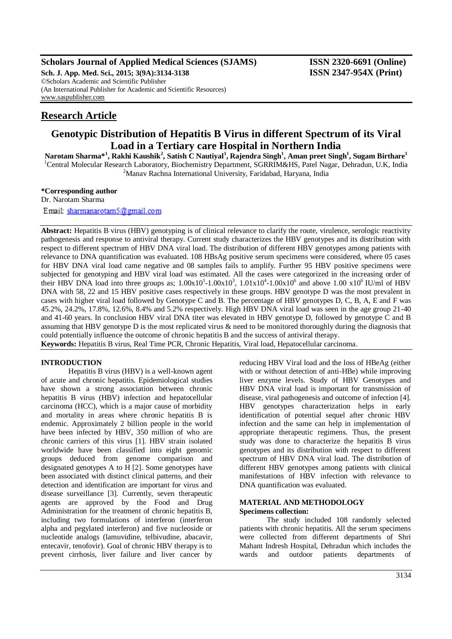### **Scholars Journal of Applied Medical Sciences (SJAMS) ISSN 2320-6691 (Online)**

**Sch. J. App. Med. Sci., 2015; 3(9A):3134-3138 ISSN 2347-954X (Print)** ©Scholars Academic and Scientific Publisher (An International Publisher for Academic and Scientific Resources) [www.saspublisher.com](http://www.saspublisher.com/)

# **Research Article**

## **Genotypic Distribution of Hepatitis B Virus in different Spectrum of its Viral Load in a Tertiary care Hospital in Northern India**

**Narotam Sharma\*<sup>1</sup> , Rakhi Kaushik<sup>2</sup> , Satish C Nautiyal<sup>1</sup> , Rajendra Singh<sup>1</sup> , Aman preet Singh<sup>1</sup> , Sugam Birthare<sup>1</sup>** <sup>1</sup>Central Molecular Research Laboratory, Biochemistry Department, SGRRIM&HS, Patel Nagar, Dehradun, U.K, India <sup>2</sup>Manav Rachna International University, Faridabad, Haryana, India

#### **\*Corresponding author**

Dr. Narotam Sharma

Email: sharmanarotam5@gmail.com

**Abstract:** Hepatitis B virus (HBV) genotyping is of clinical relevance to clarify the route, virulence, serologic reactivity pathogenesis and response to antiviral therapy. Current study characterizes the HBV genotypes and its distribution with respect to different spectrum of HBV DNA viral load. The distribution of different HBV genotypes among patients with relevance to DNA quantification was evaluated. 108 HBsAg positive serum specimens were considered, where 05 cases for HBV DNA viral load came negative and 08 samples fails to amplify. Further 95 HBV positive specimens were subjected for genotyping and HBV viral load was estimated. All the cases were categorized in the increasing order of their HBV DNA load into three groups as;  $1.00x10^1 - 1.00x10^3$ ,  $1.01x10^4 - 1.00x10^6$  and above  $1.00x10^6$  IU/ml of HBV DNA with 58, 22 and 15 HBV positive cases respectively in these groups. HBV genotype D was the most prevalent in cases with higher viral load followed by Genotype C and B. The percentage of HBV genotypes D, C, B, A, E and F was 45.2%, 24.2%, 17.8%, 12.6%, 8.4% and 5.2% respectively. High HBV DNA viral load was seen in the age group 21-40 and 41-60 years. In conclusion HBV viral DNA titer was elevated in HBV genotype D, followed by genotype C and B assuming that HBV genotype D is the most replicated virus & need to be monitored thoroughly during the diagnosis that could potentially influence the outcome of chronic hepatitis B and the success of antiviral therapy. **Keywords:** Hepatitis B virus, Real Time PCR, Chronic Hepatitis, Viral load, Hepatocellular carcinoma.

### **INTRODUCTION**

Hepatitis B virus (HBV) is a well-known agent of acute and chronic hepatitis. Epidemiological studies have shown a strong association between chronic hepatitis B virus (HBV) infection and hepatocellular carcinoma (HCC), which is a major cause of morbidity and mortality in areas where chronic hepatitis B is endemic. Approximately 2 billion people in the world have been infected by HBV, 350 million of who are chronic carriers of this virus [1]. HBV strain isolated worldwide have been classified into eight genomic groups deduced from genome comparison and designated genotypes A to H [2]. Some genotypes have been associated with distinct clinical patterns, and their detection and identification are important for virus and disease surveillance [3]. Currently, seven therapeutic agents are approved by the Food and Drug Administration for the treatment of chronic hepatitis B, including two formulations of interferon (interferon alpha and pegylated interferon) and five nucleoside or nucleotide analogs (lamuvidine, telbivudine, abacavir, entecavir, tenofovir). Goal of chronic HBV therapy is to prevent cirrhosis, liver failure and liver cancer by

reducing HBV Viral load and the loss of HBeAg (either with or without detection of anti-HBe) while improving liver enzyme levels. Study of HBV Genotypes and HBV DNA viral load is important for transmission of disease, viral pathogenesis and outcome of infection [4]. HBV genotypes characterization helps in early identification of potential sequel after chronic HBV infection and the same can help in implementation of appropriate therapeutic regimens. Thus, the present study was done to characterize the hepatitis B virus genotypes and its distribution with respect to different spectrum of HBV DNA viral load. The distribution of different HBV genotypes among patients with clinical manifestations of HBV infection with relevance to DNA quantification was evaluated.

#### **MATERIAL AND METHODOLOGY Specimens collection:**

The study included 108 randomly selected patients with chronic hepatitis. All the serum specimens were collected from different departments of Shri Mahant Indresh Hospital, Dehradun which includes the wards and outdoor patients departments of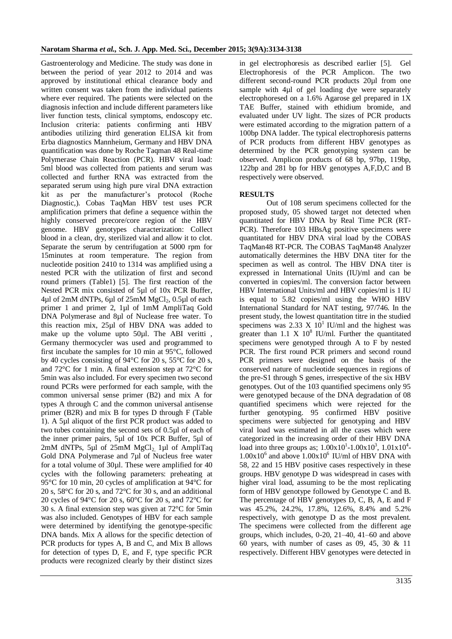Gastroenterology and Medicine. The study was done in between the period of year 2012 to 2014 and was approved by institutional ethical clearance body and written consent was taken from the individual patients where ever required. The patients were selected on the diagnosis infection and include different parameters like liver function tests, clinical symptoms, endoscopy etc. Inclusion criteria: patients confirming anti HBV antibodies utilizing third generation ELISA kit from Erba diagnostics Mannheium, Germany and HBV DNA quantification was done by Roche Taqman 48 Real-time Polymerase Chain Reaction (PCR). HBV viral load: 5ml blood was collected from patients and serum was collected and further RNA was extracted from the separated serum using high pure viral DNA extraction kit as per the manufacturer's protocol (Roche Diagnostic,). Cobas TaqMan HBV test uses PCR amplification primers that define a sequence within the highly conserved precore/core region of the HBV genome. HBV genotypes characterization: Collect blood in a clean, dry, sterilized vial and allow it to clot. Separate the serum by centrifugation at 5000 rpm for 15minutes at room temperature. The region from nucleotide position 2410 to 1314 was amplified using a nested PCR with the utilization of first and second round primers (Table1) [5]. The first reaction of the Nested PCR mix consisted of 5µl of 10x PCR Buffer, 4µl of 2mM dNTPs, 6µl of 25mM MgCl<sub>2</sub>, 0.5µl of each primer 1 and primer 2, 1µl of 1mM AmpliTaq Gold DNA Polymerase and 8µl of Nuclease free water. To this reaction mix, 25µl of HBV DNA was added to make up the volume upto 50µl. The ABI veritti, Germany thermocycler was used and programmed to first incubate the samples for 10 min at 95°C, followed by 40 cycles consisting of 94°C for 20 s, 55°C for 20 s, and 72°C for 1 min. A final extension step at 72°C for 5min was also included. For every specimen two second round PCRs were performed for each sample, with the common universal sense primer (B2) and mix A for types A through C and the common universal antisense primer (B2R) and mix B for types D through F (Table 1). A 5µl aliquot of the first PCR product was added to two tubes containing the second sets of 0.5µl of each of the inner primer pairs, 5µl of 10x PCR Buffer, 5µl of  $2mM$  dNTPs, 5µl of  $25mM$  MgCl<sub>2</sub>, 1µl of AmpliTaq Gold DNA Polymerase and 7µl of Nucleus free water for a total volume of 30µl. These were amplified for 40 cycles with the following parameters: preheating at 95°C for 10 min, 20 cycles of amplification at 94°C for 20 s, 58°C for 20 s, and 72°C for 30 s, and an additional 20 cycles of 94°C for 20 s, 60°C for 20 s, and 72°C for 30 s. A final extension step was given at 72°C for 5min was also included. Genotypes of HBV for each sample were determined by identifying the genotype-specific DNA bands. Mix A allows for the specific detection of PCR products for types A, B and C, and Mix B allows for detection of types D, E, and F, type specific PCR products were recognized clearly by their distinct sizes

in gel electrophoresis as described earlier [5]. Gel Electrophoresis of the PCR Amplicon. The two different second-round PCR products 20µl from one sample with 4µl of gel loading dye were separately electrophoresed on a 1.6% Agarose gel prepared in 1X TAE Buffer, stained with ethidium bromide, and evaluated under UV light. The sizes of PCR products were estimated according to the migration pattern of a 100bp DNA ladder. The typical electrophoresis patterns of PCR products from different HBV genotypes as determined by the PCR genotyping system can be observed. Amplicon products of 68 bp, 97bp, 119bp, 122bp and 281 bp for HBV genotypes A,F,D,C and B respectively were observed.

### **RESULTS**

Out of 108 serum specimens collected for the proposed study, 05 showed target not detected when quantitated for HBV DNA by Real Time PCR (RT-PCR). Therefore 103 HBsAg positive specimens were quantitated for HBV DNA viral load by the COBAS TaqMan48 RT-PCR. The COBAS TaqMan48 Analyzer automatically determines the HBV DNA titer for the specimen as well as control. The HBV DNA titer is expressed in International Units (IU)/ml and can be converted in copies/ml. The conversion factor between HBV International Units/ml and HBV copies/ml is 1 IU is equal to 5.82 copies/ml using the WHO HBV International Standard for NAT testing, 97/746. In the present study, the lowest quantitation titre in the studied specimens was 2.33 X  $10^1$  IU/ml and the highest was greater than  $1.1 \times 10^8$  IU/ml. Further the quantitated specimens were genotyped through A to F by nested PCR. The first round PCR primers and second round PCR primers were designed on the basis of the conserved nature of nucleotide sequences in regions of the pre-S1 through S genes, irrespective of the six HBV genotypes. Out of the 103 quantified specimens only 95 were genotyped because of the DNA degradation of 08 quantified specimens which were rejected for the further genotyping. 95 confirmed HBV positive specimens were subjected for genotyping and HBV viral load was estimated in all the cases which were categorized in the increasing order of their HBV DNA load into three groups as;  $1.00 \times 10^{1} - 1.00 \times 10^{3}$ ,  $1.01 \times 10^{4}$ - $1.00x10^6$  and above  $1.00x10^6$  IU/ml of HBV DNA with 58, 22 and 15 HBV positive cases respectively in these groups. HBV genotype D was widespread in cases with higher viral load, assuming to be the most replicating form of HBV genotype followed by Genotype C and B. The percentage of HBV genotypes D, C, B, A, E and F was 45.2%, 24.2%, 17.8%, 12.6%, 8.4% and 5.2% respectively, with genotype D as the most prevalent. The specimens were collected from the different age groups, which includes, 0-20, 21–40, 41–60 and above 60 years, with number of cases as 09, 45, 30 & 11 respectively. Different HBV genotypes were detected in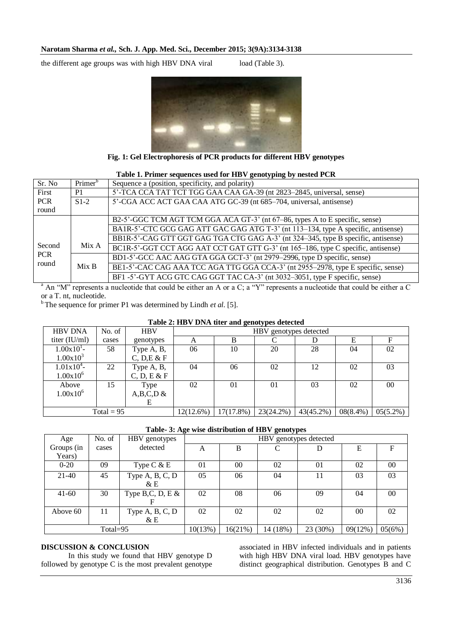the different age groups was with high HBV DNA viral load (Table 3).



**Fig. 1: Gel Electrophoresis of PCR products for different HBV genotypes**

| Table 1. Primer sequences used for HBV genotyping by nested PCR |                     |                                                                                   |  |  |  |  |  |
|-----------------------------------------------------------------|---------------------|-----------------------------------------------------------------------------------|--|--|--|--|--|
| Sr. No                                                          | Primer <sup>b</sup> | Sequence a (position, specificity, and polarity)                                  |  |  |  |  |  |
| First                                                           | P <sub>1</sub>      | 5'-TCA CCA TAT TCT TGG GAA CAA GA-39 (nt 2823-2845, universal, sense)             |  |  |  |  |  |
| <b>PCR</b>                                                      | $S1-2$              | 5'-CGA ACC ACT GAA CAA ATG GC-39 (nt 685-704, universal, antisense)               |  |  |  |  |  |
| round                                                           |                     |                                                                                   |  |  |  |  |  |
| Second<br><b>PCR</b><br>round                                   |                     | B2-5'-GGC TCM AGT TCM GGA ACA GT-3' (nt 67–86, types A to E specific, sense)      |  |  |  |  |  |
|                                                                 |                     | BA1R-5'-CTC GCG GAG ATT GAC GAG ATG T-3' (nt 113–134, type A specific, antisense) |  |  |  |  |  |
|                                                                 | Mix A               | BB1R-5'-CAG GTT GGT GAG TGA CTG GAG A-3' (nt 324–345, type B specific, antisense) |  |  |  |  |  |
|                                                                 |                     | BC1R-5'-GGT CCT AGG AAT CCT GAT GTT G-3' (nt 165–186, type C specific, antisense) |  |  |  |  |  |
|                                                                 | Mix B               | BD1-5'-GCC AAC AAG GTA GGA GCT-3' (nt 2979–2996, type D specific, sense)          |  |  |  |  |  |
|                                                                 |                     | BE1-5'-CAC CAG AAA TCC AGA TTG GGA CCA-3' (nt 2955–2978, type E specific, sense)  |  |  |  |  |  |
|                                                                 |                     | BF1-5'-GYT ACG GTC CAG GGT TAC CA-3' (nt 3032-3051, type F specific, sense)       |  |  |  |  |  |

 $^a$  An "M" represents a nucleotide that could be either an A or a C; a "Y" represents a nucleotide that could be either a C or a T. nt, nucleotide.

 $<sup>b</sup>$  The sequence for primer P1 was determined by Lindh *et al.* [5].</sup>

| Table 2: HD v DIVA then and genotypes detected |        |                           |                        |           |           |           |             |             |  |  |  |
|------------------------------------------------|--------|---------------------------|------------------------|-----------|-----------|-----------|-------------|-------------|--|--|--|
| <b>HBV DNA</b>                                 | No. of | <b>HBV</b>                | HBV genotypes detected |           |           |           |             |             |  |  |  |
| titer $(IU/ml)$                                | cases  | genotypes                 | А                      | B         |           |           | Е           | F           |  |  |  |
| $1.00x101$ -<br>$1.00x10^{3}$                  | 58     | Type A, B,<br>C, D, E & F | 06                     | 10        | 20        | 28        | 04          | 02          |  |  |  |
| $1.01 \times 10^{4}$<br>$1.00x10^6$            | 22     | Type A, B,<br>C, D, E & F | 04                     | 06        | 02        | 12        | 02          | 03          |  |  |  |
| Above<br>$1.00x10^6$                           | 15     | Type<br>$A,B,C,D \&$<br>E | 02                     | $\Omega$  | 01        | 03        | 02          | $00\,$      |  |  |  |
| Total = $95$                                   |        |                           | 12(12.6%)              | 17(17.8%) | 23(24.2%) | 43(45.2%) | $08(8.4\%)$ | $05(5.2\%)$ |  |  |  |

## **Table 2: HBV DNA titer and genotypes detected**

#### **Table- 3: Age wise distribution of HBV genotypes**

| Age         | No. of | HBV genotypes      | HBV genotypes detected |         |          |          |                 |        |
|-------------|--------|--------------------|------------------------|---------|----------|----------|-----------------|--------|
| Groups (in  | cases  | detected           | A                      | B       |          | D        | E               | F      |
| Years)      |        |                    |                        |         |          |          |                 |        |
| $0 - 20$    | 09     | Type $C & E$       | 01                     | 00      | 02       | 01       | 02              | $00\,$ |
| $21-40$     | 45     | Type A, B, C, D    | 05                     | 06      | 04       | 11       | 03              | 03     |
|             |        | $\&\to$            |                        |         |          |          |                 |        |
| $41-60$     | 30     | Type B,C, D, E $&$ | 02                     | 08      | 06       | 09       | 04              | $00\,$ |
|             |        | F                  |                        |         |          |          |                 |        |
| Above 60    | 11     | Type A, B, C, D    | 02                     | 02      | 02       | 02       | 00 <sup>0</sup> | 02     |
|             |        | &E                 |                        |         |          |          |                 |        |
| Total= $95$ |        |                    | 10(13%)                | 16(21%) | 14 (18%) | 23 (30%) | 09(12%)         | 05(6%) |

#### **DISCUSSION & CONCLUSION**

In this study we found that HBV genotype D followed by genotype C is the most prevalent genotype associated in HBV infected individuals and in patients with high HBV DNA viral load. HBV genotypes have distinct geographical distribution. Genotypes B and C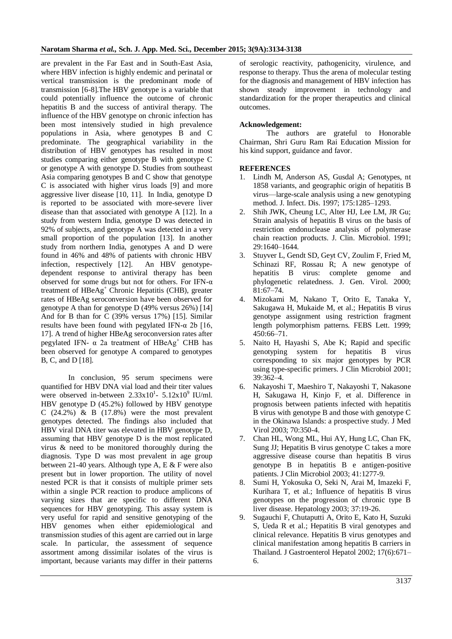are prevalent in the Far East and in South-East Asia, where HBV infection is highly endemic and perinatal or vertical transmission is the predominant mode of transmission [6-8].The HBV genotype is a variable that could potentially influence the outcome of chronic hepatitis B and the success of antiviral therapy. The influence of the HBV genotype on chronic infection has been most intensively studied in high prevalence populations in Asia, where genotypes B and C predominate. The geographical variability in the distribution of HBV genotypes has resulted in most studies comparing either genotype B with genotype C or genotype A with genotype D. Studies from southeast Asia comparing genotypes B and C show that genotype C is associated with higher virus loads [9] and more aggressive liver disease [10, 11]. In India, genotype D is reported to be associated with more-severe liver disease than that associated with genotype A [12]. In a study from western India, genotype D was detected in 92% of subjects, and genotype A was detected in a very small proportion of the population [13]. In another study from northern India, genotypes A and D were found in 46% and 48% of patients with chronic HBV infection, respectively [12]. An HBV genotypedependent response to antiviral therapy has been observed for some drugs but not for others. For IFN-α treatment of HBeAg<sup>+</sup> Chronic Hepatitis (CHB), greater rates of HBeAg seroconversion have been observed for genotype A than for genotype D (49% versus 26%) [14] And for B than for C (39% versus 17%) [15]. Similar results have been found with pegylated IFN- $\alpha$  2b [16, 17]. A trend of higher HBeAg seroconversion rates after pegylated IFN-  $\alpha$  2a treatment of HBeAg<sup>+</sup> CHB has been observed for genotype A compared to genotypes B, C, and D [18].

In conclusion, 95 serum specimens were quantified for HBV DNA vial load and their titer values were observed in-between  $2.33 \times 10^{1}$ -  $5.12 \times 10^{9}$  IU/ml. HBV genotype D (45.2%) followed by HBV genotype C  $(24.2\%)$  & B  $(17.8\%)$  were the most prevalent genotypes detected. The findings also included that HBV viral DNA titer was elevated in HBV genotype D, assuming that HBV genotype D is the most replicated virus & need to be monitored thoroughly during the diagnosis. Type D was most prevalent in age group between 21-40 years. Although type A, E & F were also present but in lower proportion. The utility of novel nested PCR is that it consists of multiple primer sets within a single PCR reaction to produce amplicons of varying sizes that are specific to different DNA sequences for HBV genotyping. This assay system is very useful for rapid and sensitive genotyping of the HBV genomes when either epidemiological and transmission studies of this agent are carried out in large scale. In particular, the assessment of sequence assortment among dissimilar isolates of the virus is important, because variants may differ in their patterns of serologic reactivity, pathogenicity, virulence, and response to therapy. Thus the arena of molecular testing for the diagnosis and management of HBV infection has shown steady improvement in technology and standardization for the proper therapeutics and clinical outcomes.

#### **Acknowledgement:**

The authors are grateful to Honorable Chairman, Shri Guru Ram Rai Education Mission for his kind support, guidance and favor.

### **REFERENCES**

- 1. Lindh M, Anderson AS, Gusdal A; Genotypes, nt 1858 variants, and geographic origin of hepatitis B virus—large-scale analysis using a new genotyping method. J. Infect. Dis. 1997; 175:1285–1293.
- 2. Shih JWK, Cheung LC, Alter HJ, Lee LM, JR Gu; Strain analysis of hepatitis B virus on the basis of restriction endonuclease analysis of polymerase chain reaction products. J. Clin. Microbiol. 1991; 29:1640–1644.
- 3. Stuyver L, Gendt SD, Geyt CV, Zoulim F, Fried M, Schinazi RF, Rossau R; A new genotype of hepatitis B virus: complete genome and phylogenetic relatedness. J. Gen. Virol. 2000; 81:67–74.
- 4. Mizokami M, Nakano T, Orito E, Tanaka Y, Sakugawa H, Mukaide M, et al.; Hepatitis B virus genotype assignment using restriction fragment length polymorphism patterns. FEBS Lett. 1999; 450:66–71.
- 5. Naito H, Hayashi S, Abe K; Rapid and specific genotyping system for hepatitis B virus corresponding to six major genotypes by PCR using type-specific primers. J Clin Microbiol 2001; 39:362–4.
- 6. Nakayoshi T, Maeshiro T, Nakayoshi T, Nakasone H, Sakugawa H, Kinjo F, et al. Difference in prognosis between patients infected with hepatitis B virus with genotype B and those with genotype C in the Okinawa Islands: a prospective study. J Med Virol 2003; 70:350-4.
- 7. Chan HL, Wong ML, Hui AY, Hung LC, Chan FK, Sung JJ; Hepatitis B virus genotype C takes a more aggressive disease course than hepatitis B virus genotype B in hepatitis B e antigen-positive patients. J Clin Microbiol 2003; 41:1277-9.
- 8. Sumi H, Yokosuka O, Seki N, Arai M, Imazeki F, Kurihara T, et al.; Influence of hepatitis B virus genotypes on the progression of chronic type B liver disease. Hepatology 2003; 37:19-26.
- 9. Sugauchi F, Chutaputti A, Orito E, Kato H, Suzuki S, Ueda R et al.; Hepatitis B viral genotypes and clinical relevance. Hepatitis B virus genotypes and clinical manifestation among hepatitis B carriers in Thailand. J Gastroenterol Hepatol 2002; 17(6):671– 6.